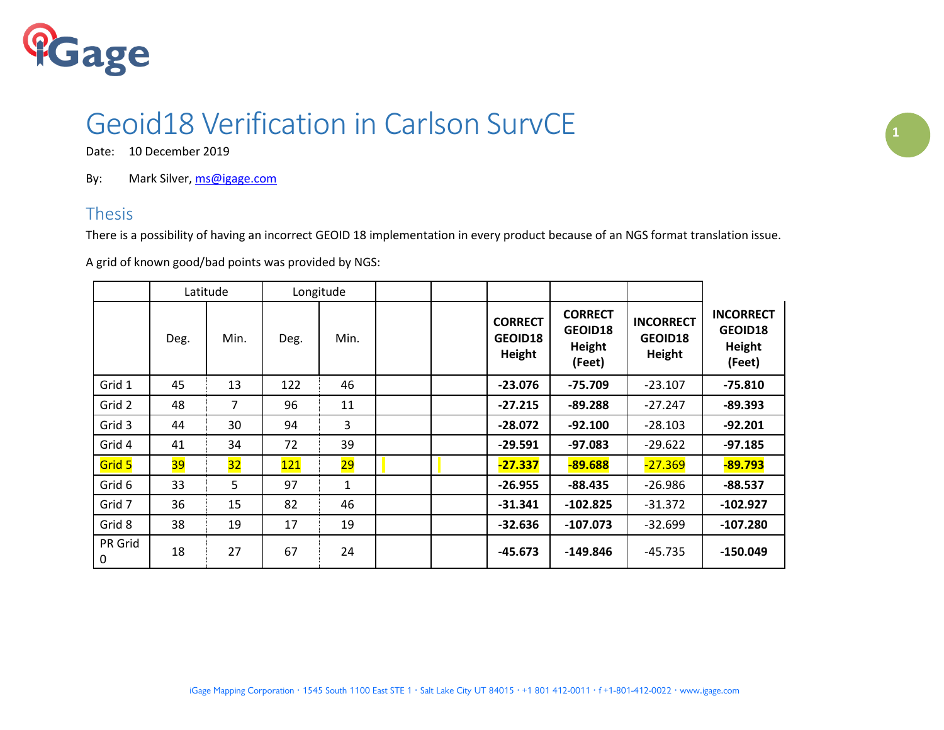

## Geoid18 Verification in Carlson SurvCE **<sup>1</sup>**

Date: 10 December 2019

By: Mark Silver[, ms@igage.com](mailto:ms@igage.com)

## Thesis

There is a possibility of having an incorrect GEOID 18 implementation in every product because of an NGS format translation issue.

A grid of known good/bad points was provided by NGS:

|              | Latitude |                 | Longitude |              |  |                                     |                                               |                                       |                                                 |
|--------------|----------|-----------------|-----------|--------------|--|-------------------------------------|-----------------------------------------------|---------------------------------------|-------------------------------------------------|
|              | Deg.     | Min.            | Deg.      | Min.         |  | <b>CORRECT</b><br>GEOID18<br>Height | <b>CORRECT</b><br>GEOID18<br>Height<br>(Feet) | <b>INCORRECT</b><br>GEOID18<br>Height | <b>INCORRECT</b><br>GEOID18<br>Height<br>(Feet) |
| Grid 1       | 45       | 13              | 122       | 46           |  | $-23.076$                           | $-75.709$                                     | $-23.107$                             | $-75.810$                                       |
| Grid 2       | 48       | 7               | 96        | 11           |  | $-27.215$                           | $-89.288$                                     | $-27.247$                             | $-89.393$                                       |
| Grid 3       | 44       | 30              | 94        | 3            |  | $-28.072$                           | $-92.100$                                     | $-28.103$                             | $-92.201$                                       |
| Grid 4       | 41       | 34              | 72        | 39           |  | $-29.591$                           | $-97.083$                                     | $-29.622$                             | $-97.185$                                       |
| Grid 5       | 39       | $\overline{32}$ | 121       | 29           |  | $-27.337$                           | $-89.688$                                     | $-27.369$                             | $-89.793$                                       |
| Grid 6       | 33       | 5               | 97        | $\mathbf{1}$ |  | $-26.955$                           | $-88.435$                                     | $-26.986$                             | $-88.537$                                       |
| Grid 7       | 36       | 15              | 82        | 46           |  | $-31.341$                           | $-102.825$                                    | $-31.372$                             | $-102.927$                                      |
| Grid 8       | 38       | 19              | 17        | 19           |  | $-32.636$                           | $-107.073$                                    | $-32.699$                             | $-107.280$                                      |
| PR Grid<br>0 | 18       | 27              | 67        | 24           |  | -45.673                             | $-149.846$                                    | $-45.735$                             | $-150.049$                                      |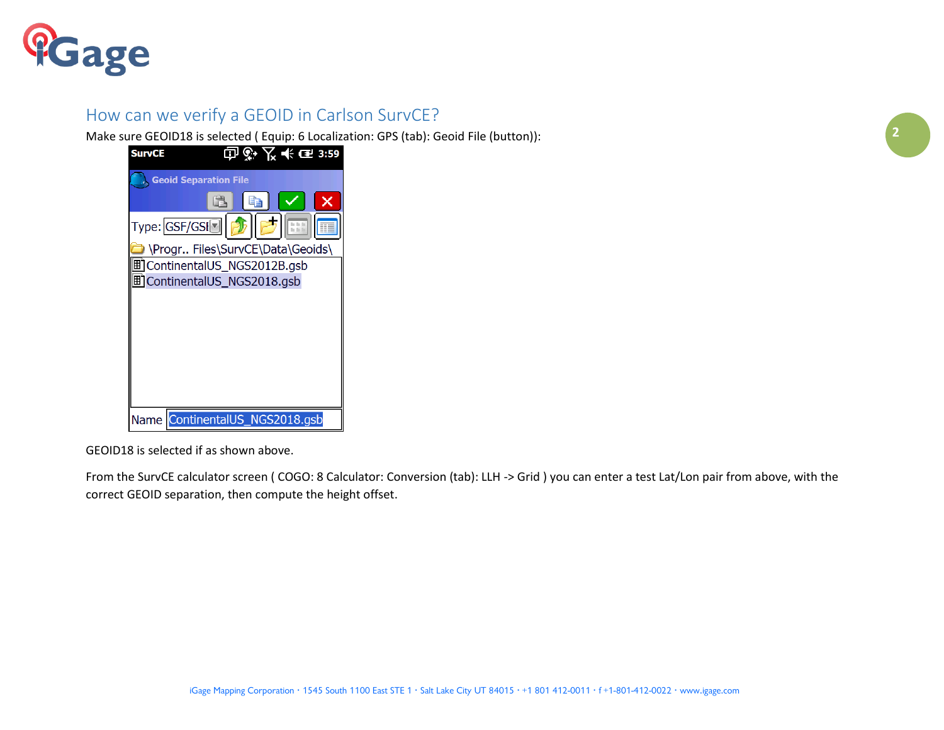

## How can we verify a GEOID in Carlson SurvCE?

Make sure GEOID18 is selected ( Equip: 6 Localization: GPS (tab): Geoid File (button)):

| <b>SurvCE</b> | $\circ \times$ $\leftarrow$ $\bullet$ 3:59<br>Ō) |
|---------------|--------------------------------------------------|
|               | <b>Geoid Separation File</b>                     |
|               |                                                  |
|               | Type: GSF/GSI <sup>O</sup>                       |
|               | \Progr Files\SurvCE\Data\Geoids\                 |
| ▦             | ContinentalUS_NGS2012B.gsb                       |
|               | <b>町 ContinentalUS_NGS2018.gsb</b>               |
|               |                                                  |
|               |                                                  |
|               |                                                  |
|               |                                                  |
|               |                                                  |
|               |                                                  |
|               | Name ContinentalUS_NGS2018.gsb                   |

GEOID18 is selected if as shown above.

From the SurvCE calculator screen ( COGO: 8 Calculator: Conversion (tab): LLH -> Grid ) you can enter a test Lat/Lon pair from above, with the correct GEOID separation, then compute the height offset.

**2**